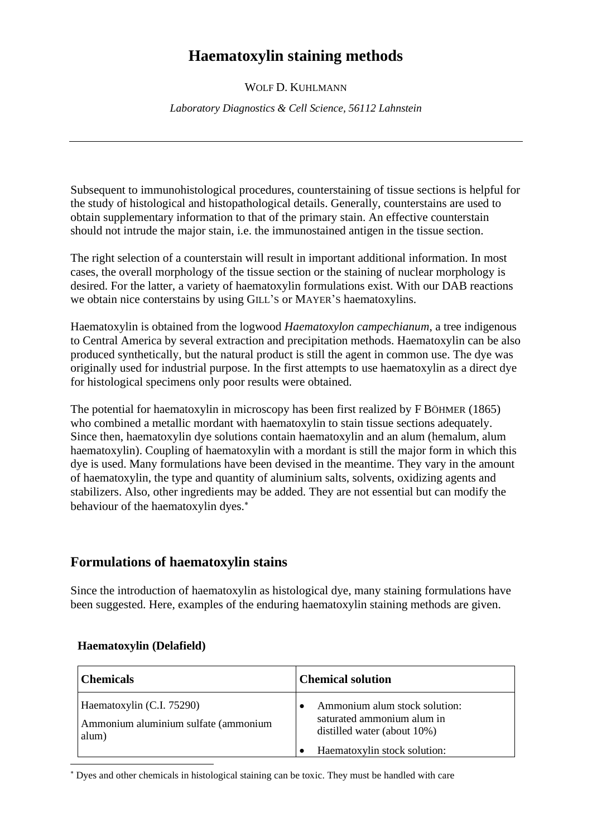# **Haematoxylin staining methods**

WOLF D. KUHLMANN

*Laboratory Diagnostics & Cell Science, 56112 Lahnstein*

Subsequent to immunohistological procedures, counterstaining of tissue sections is helpful for the study of histological and histopathological details. Generally, counterstains are used to obtain supplementary information to that of the primary stain. An effective counterstain should not intrude the major stain, i.e. the immunostained antigen in the tissue section.

The right selection of a counterstain will result in important additional information. In most cases, the overall morphology of the tissue section or the staining of nuclear morphology is desired. For the latter, a variety of haematoxylin formulations exist. With our DAB reactions we obtain nice conterstains by using GILL'S or MAYER'S haematoxylins.

Haematoxylin is obtained from the logwood *Haematoxylon campechianum*, a tree indigenous to Central America by several extraction and precipitation methods. Haematoxylin can be also produced synthetically, but the natural product is still the agent in common use. The dye was originally used for industrial purpose. In the first attempts to use haematoxylin as a direct dye for histological specimens only poor results were obtained.

The potential for haematoxylin in microscopy has been first realized by F BÖHMER (1865) who combined a metallic mordant with haematoxylin to stain tissue sections adequately. Since then, haematoxylin dye solutions contain haematoxylin and an alum (hemalum, alum haematoxylin). Coupling of haematoxylin with a mordant is still the major form in which this dye is used. Many formulations have been devised in the meantime. They vary in the amount of haematoxylin, the type and quantity of aluminium salts, solvents, oxidizing agents and stabilizers. Also, other ingredients may be added. They are not essential but can modify the behaviour of the haematoxylin dyes.

## **Formulations of haematoxylin stains**

Since the introduction of haematoxylin as histological dye, many staining formulations have been suggested. Here, examples of the enduring haematoxylin staining methods are given.

| <b>Chemicals</b>                                                           | <b>Chemical solution</b>                                                                   |
|----------------------------------------------------------------------------|--------------------------------------------------------------------------------------------|
| Haematoxylin (C.I. 75290)<br>Ammonium aluminium sulfate (ammonium<br>alum) | Ammonium alum stock solution:<br>saturated ammonium alum in<br>distilled water (about 10%) |
|                                                                            | Haematoxylin stock solution:                                                               |

### **Haematoxylin (Delafield)**

Dyes and other chemicals in histological staining can be toxic. They must be handled with care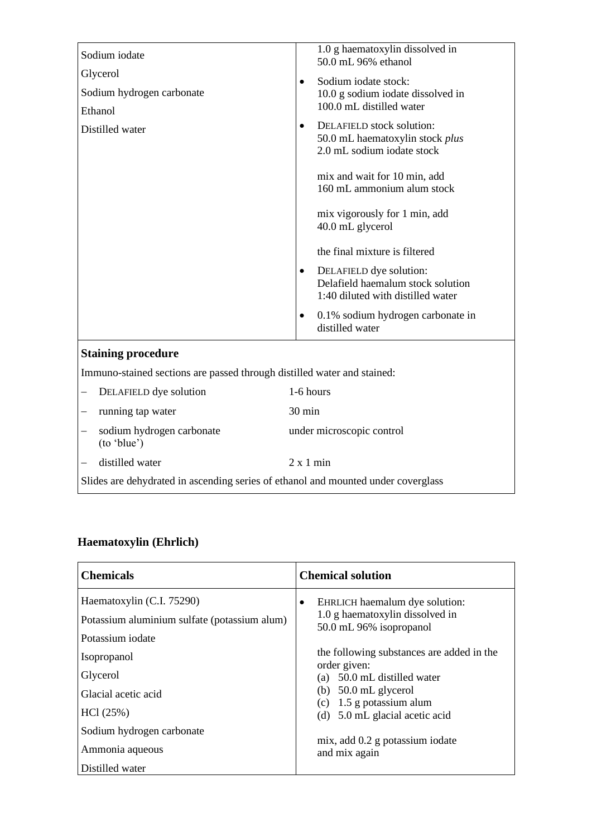| Sodium iodate                                                                     | 1.0 g haematoxylin dissolved in<br>50.0 mL 96% ethanol                                                  |  |
|-----------------------------------------------------------------------------------|---------------------------------------------------------------------------------------------------------|--|
| Glycerol                                                                          | Sodium iodate stock:<br>$\bullet$                                                                       |  |
| Sodium hydrogen carbonate                                                         | 10.0 g sodium iodate dissolved in                                                                       |  |
| Ethanol                                                                           | 100.0 mL distilled water                                                                                |  |
| Distilled water                                                                   | DELAFIELD stock solution:<br>$\bullet$<br>50.0 mL haematoxylin stock plus<br>2.0 mL sodium iodate stock |  |
|                                                                                   | mix and wait for 10 min, add<br>160 mL ammonium alum stock                                              |  |
|                                                                                   | mix vigorously for 1 min, add<br>40.0 mL glycerol                                                       |  |
|                                                                                   | the final mixture is filtered                                                                           |  |
|                                                                                   | DELAFIELD dye solution:<br>٠<br>Delafield haemalum stock solution<br>1:40 diluted with distilled water  |  |
|                                                                                   | 0.1% sodium hydrogen carbonate in<br>$\bullet$<br>distilled water                                       |  |
| <b>Staining procedure</b>                                                         |                                                                                                         |  |
| Immuno-stained sections are passed through distilled water and stained:           |                                                                                                         |  |
| DELAFIELD dye solution                                                            | 1-6 hours                                                                                               |  |
| running tap water                                                                 | $30 \text{ min}$                                                                                        |  |
| sodium hydrogen carbonate<br>(to 'blue')                                          | under microscopic control                                                                               |  |
| distilled water                                                                   | 2 x 1 min                                                                                               |  |
| Slides are dehydrated in ascending series of ethanol and mounted under coverglass |                                                                                                         |  |

# **Haematoxylin (Ehrlich)**

| <b>Chemicals</b>                                                                                                                                             | <b>Chemical solution</b>                                                                                                                                                                                                                                                                |
|--------------------------------------------------------------------------------------------------------------------------------------------------------------|-----------------------------------------------------------------------------------------------------------------------------------------------------------------------------------------------------------------------------------------------------------------------------------------|
| Haematoxylin (C.I. 75290)<br>Potassium aluminium sulfate (potassium alum)<br>Potassium iodate<br>Isopropanol<br>Glycerol<br>Glacial acetic acid<br>HCl (25%) | EHRLICH haemalum dye solution:<br>٠<br>1.0 g haematoxylin dissolved in<br>50.0 mL 96% isopropanol<br>the following substances are added in the<br>order given:<br>(a) 50.0 mL distilled water<br>(b) $50.0$ mL glycerol<br>(c) $1.5$ g potassium alum<br>(d) 5.0 mL glacial acetic acid |
| Sodium hydrogen carbonate<br>Ammonia aqueous<br>Distilled water                                                                                              | mix, add 0.2 g potassium iodate<br>and mix again                                                                                                                                                                                                                                        |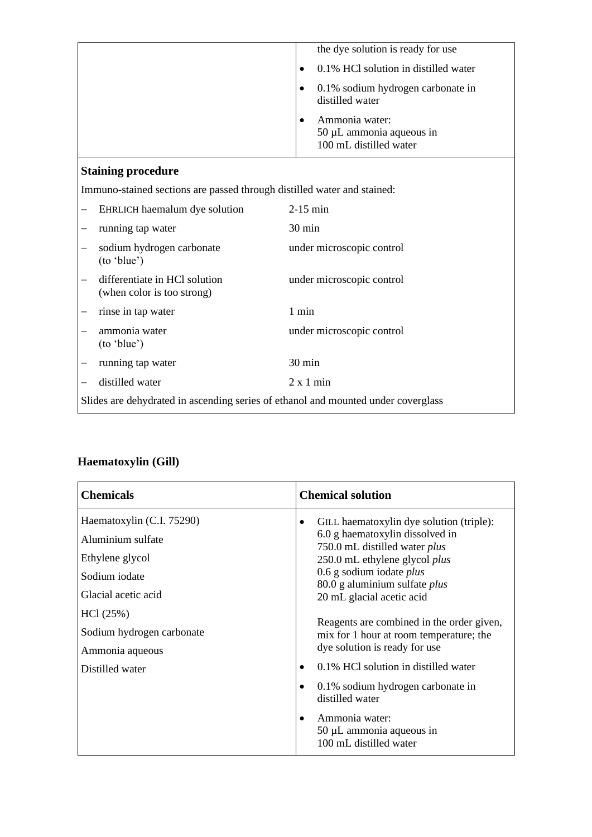|                                                                                   |                                                                         | the dye solution is ready for use                                         |
|-----------------------------------------------------------------------------------|-------------------------------------------------------------------------|---------------------------------------------------------------------------|
|                                                                                   |                                                                         | 0.1% HCl solution in distilled water<br>$\bullet$                         |
|                                                                                   |                                                                         | 0.1% sodium hydrogen carbonate in<br>$\bullet$<br>distilled water         |
|                                                                                   |                                                                         | Ammonia water:<br>$50 \mu L$ ammonia aqueous in<br>100 mL distilled water |
|                                                                                   | <b>Staining procedure</b>                                               |                                                                           |
|                                                                                   | Immuno-stained sections are passed through distilled water and stained: |                                                                           |
|                                                                                   | EHRLICH haemalum dye solution                                           | $2-15$ min                                                                |
|                                                                                   | running tap water                                                       | 30 min                                                                    |
|                                                                                   | sodium hydrogen carbonate<br>(to 'blue')                                | under microscopic control                                                 |
|                                                                                   | differentiate in HCl solution<br>(when color is too strong)             | under microscopic control                                                 |
|                                                                                   | rinse in tap water                                                      | 1 min                                                                     |
|                                                                                   | ammonia water<br>(to 'blue')                                            | under microscopic control                                                 |
|                                                                                   | running tap water                                                       | $30 \text{ min}$                                                          |
|                                                                                   | distilled water                                                         | $2 \times 1$ min                                                          |
| Slides are dehydrated in ascending series of ethanol and mounted under coverglass |                                                                         |                                                                           |

# **Haematoxylin (Gill)**

| <b>Chemicals</b>                                                                                                                                                                         | <b>Chemical solution</b>                                                                                                                                                                                                                                                                                                                                                                                          |
|------------------------------------------------------------------------------------------------------------------------------------------------------------------------------------------|-------------------------------------------------------------------------------------------------------------------------------------------------------------------------------------------------------------------------------------------------------------------------------------------------------------------------------------------------------------------------------------------------------------------|
| Haematoxylin (C.I. 75290)<br>Aluminium sulfate<br>Ethylene glycol<br>Sodium iodate<br>Glacial acetic acid<br>HCl(25%)<br>Sodium hydrogen carbonate<br>Ammonia aqueous<br>Distilled water | GILL haematoxylin dye solution (triple):<br>6.0 g haematoxylin dissolved in<br>750.0 mL distilled water plus<br>250.0 mL ethylene glycol plus<br>$0.6$ g sodium iodate <i>plus</i><br>80.0 g aluminium sulfate plus<br>20 mL glacial acetic acid<br>Reagents are combined in the order given,<br>mix for 1 hour at room temperature; the<br>dye solution is ready for use<br>0.1% HCl solution in distilled water |
|                                                                                                                                                                                          | 0.1% sodium hydrogen carbonate in<br>distilled water<br>Ammonia water:<br>$50 \mu L$ ammonia aqueous in<br>100 mL distilled water                                                                                                                                                                                                                                                                                 |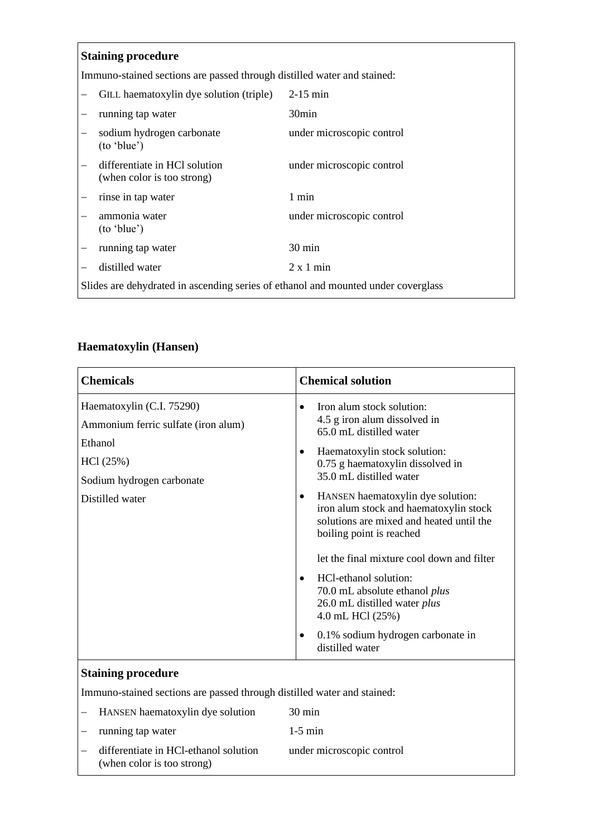### **Staining procedure**

Immuno-stained sections are passed through distilled water and stained:

|                                                                                   | GILL haematoxylin dye solution (triple)                     | $2-15$ min                |
|-----------------------------------------------------------------------------------|-------------------------------------------------------------|---------------------------|
|                                                                                   | running tap water                                           | 30 <sub>min</sub>         |
|                                                                                   | sodium hydrogen carbonate<br>(to 'blue')                    | under microscopic control |
|                                                                                   | differentiate in HCl solution<br>(when color is too strong) | under microscopic control |
|                                                                                   | rinse in tap water                                          | 1 min                     |
|                                                                                   | ammonia water<br>(to 'blue')                                | under microscopic control |
|                                                                                   | running tap water                                           | $30 \text{ min}$          |
|                                                                                   | distilled water                                             | $2 \times 1$ min          |
| Slides are dehydrated in ascending series of ethanol and mounted under coverglass |                                                             |                           |

### **Haematoxylin (Hansen)**

| <b>Chemicals</b>                                                                                                                        | <b>Chemical solution</b>                                                                                                                                                                                                                                                                                                                                                                                                                                                                                                                                                                                                        |
|-----------------------------------------------------------------------------------------------------------------------------------------|---------------------------------------------------------------------------------------------------------------------------------------------------------------------------------------------------------------------------------------------------------------------------------------------------------------------------------------------------------------------------------------------------------------------------------------------------------------------------------------------------------------------------------------------------------------------------------------------------------------------------------|
| Haematoxylin (C.I. 75290)<br>Ammonium ferric sulfate (iron alum)<br>Ethanol<br>HCl(25%)<br>Sodium hydrogen carbonate<br>Distilled water | Iron alum stock solution:<br>$\bullet$<br>4.5 g iron alum dissolved in<br>65.0 mL distilled water<br>Haematoxylin stock solution:<br>$\bullet$<br>0.75 g haematoxylin dissolved in<br>35.0 mL distilled water<br>HANSEN haematoxylin dye solution:<br>$\bullet$<br>iron alum stock and haematoxylin stock<br>solutions are mixed and heated until the<br>boiling point is reached<br>let the final mixture cool down and filter<br>HCl-ethanol solution:<br>$\bullet$<br>70.0 mL absolute ethanol plus<br>26.0 mL distilled water plus<br>4.0 mL HCl (25%)<br>0.1% sodium hydrogen carbonate in<br>$\bullet$<br>distilled water |
|                                                                                                                                         |                                                                                                                                                                                                                                                                                                                                                                                                                                                                                                                                                                                                                                 |

#### **Staining procedure**

Immuno-stained sections are passed through distilled water and stained:

| - HANSEN haematoxylin dye solution                                    | $30 \text{ min}$          |
|-----------------------------------------------------------------------|---------------------------|
| $-$ running tap water                                                 | $1-5$ min                 |
| - differentiate in HCl-ethanol solution<br>(when color is too strong) | under microscopic control |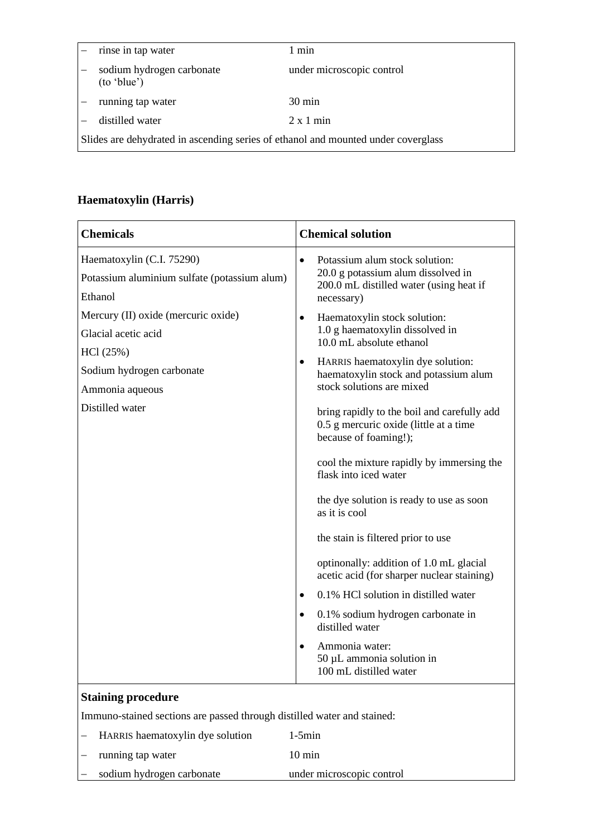|                                                                                   | rinse in tap water                       | 1 min                     |
|-----------------------------------------------------------------------------------|------------------------------------------|---------------------------|
|                                                                                   | sodium hydrogen carbonate<br>(to 'blue') | under microscopic control |
|                                                                                   | running tap water                        | $30 \text{ min}$          |
|                                                                                   | distilled water                          | $2 \times 1$ min          |
| Slides are dehydrated in ascending series of ethanol and mounted under coverglass |                                          |                           |

### **Haematoxylin (Harris)**

| Haematoxylin (C.I. 75290)<br>Potassium alum stock solution:<br>$\bullet$<br>20.0 g potassium alum dissolved in<br>Potassium aluminium sulfate (potassium alum)<br>200.0 mL distilled water (using heat if<br>Ethanol<br>necessary)<br>Mercury (II) oxide (mercuric oxide)<br>Haematoxylin stock solution:<br>$\bullet$<br>1.0 g haematoxylin dissolved in<br>Glacial acetic acid<br>10.0 mL absolute ethanol<br>HCl (25%)<br>HARRIS haematoxylin dye solution:<br>$\bullet$<br>Sodium hydrogen carbonate<br>haematoxylin stock and potassium alum<br>stock solutions are mixed<br>Ammonia aqueous<br>Distilled water<br>0.5 g mercuric oxide (little at a time<br>because of foaming!);<br>flask into iced water | <b>Chemicals</b> | <b>Chemical solution</b>                                                                                                             |
|------------------------------------------------------------------------------------------------------------------------------------------------------------------------------------------------------------------------------------------------------------------------------------------------------------------------------------------------------------------------------------------------------------------------------------------------------------------------------------------------------------------------------------------------------------------------------------------------------------------------------------------------------------------------------------------------------------------|------------------|--------------------------------------------------------------------------------------------------------------------------------------|
|                                                                                                                                                                                                                                                                                                                                                                                                                                                                                                                                                                                                                                                                                                                  |                  |                                                                                                                                      |
| as it is cool<br>the stain is filtered prior to use<br>optinonally: addition of 1.0 mL glacial<br>acetic acid (for sharper nuclear staining)<br>0.1% HCl solution in distilled water<br>$\bullet$<br>0.1% sodium hydrogen carbonate in<br>$\bullet$                                                                                                                                                                                                                                                                                                                                                                                                                                                              |                  | bring rapidly to the boil and carefully add<br>cool the mixture rapidly by immersing the<br>the dye solution is ready to use as soon |
| distilled water<br>Ammonia water:<br>$\bullet$<br>50 µL ammonia solution in<br>100 mL distilled water<br><b>Staining procedure</b>                                                                                                                                                                                                                                                                                                                                                                                                                                                                                                                                                                               |                  |                                                                                                                                      |

Immuno-stained sections are passed through distilled water and stained:

| HARRIS haematoxylin dye solution | $1-5min$                  |
|----------------------------------|---------------------------|
| running tap water                | $10 \text{ min}$          |
| sodium hydrogen carbonate        | under microscopic control |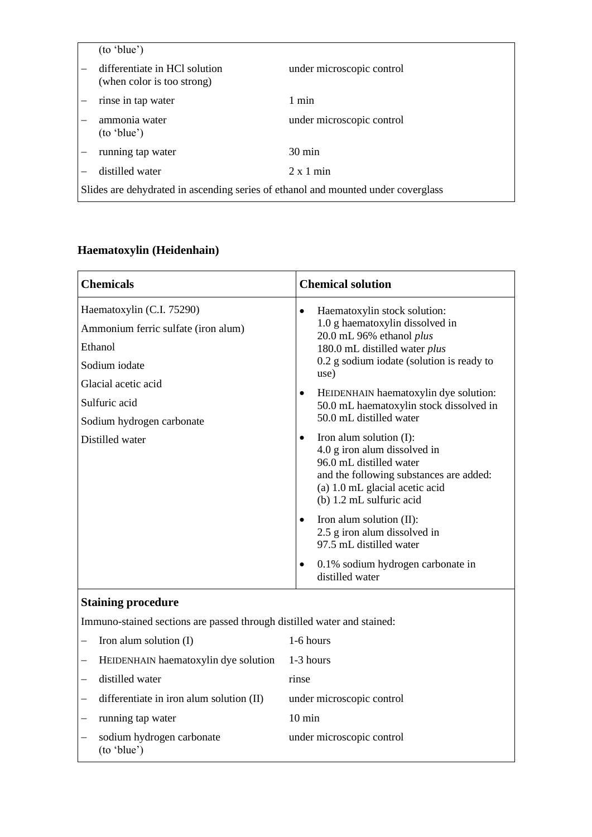|                                                                                   | (to 'blue')                                                 |                           |
|-----------------------------------------------------------------------------------|-------------------------------------------------------------|---------------------------|
|                                                                                   | differentiate in HCl solution<br>(when color is too strong) | under microscopic control |
|                                                                                   | rinse in tap water                                          | 1 min                     |
|                                                                                   | ammonia water<br>(to 'blue')                                | under microscopic control |
|                                                                                   | running tap water                                           | $30 \text{ min}$          |
|                                                                                   | distilled water                                             | $2 \times 1$ min          |
| Slides are dehydrated in ascending series of ethanol and mounted under coverglass |                                                             |                           |

# **Haematoxylin (Heidenhain)**

| <b>Chemicals</b>                                                                                                                                                                     | <b>Chemical solution</b>                                                                                                                                                                                                                                                                                                                                                                                                                                                                                                                                                                                                                                                                                        |  |
|--------------------------------------------------------------------------------------------------------------------------------------------------------------------------------------|-----------------------------------------------------------------------------------------------------------------------------------------------------------------------------------------------------------------------------------------------------------------------------------------------------------------------------------------------------------------------------------------------------------------------------------------------------------------------------------------------------------------------------------------------------------------------------------------------------------------------------------------------------------------------------------------------------------------|--|
| Haematoxylin (C.I. 75290)<br>Ammonium ferric sulfate (iron alum)<br>Ethanol<br>Sodium iodate<br>Glacial acetic acid<br>Sulfuric acid<br>Sodium hydrogen carbonate<br>Distilled water | Haematoxylin stock solution:<br>$\bullet$<br>1.0 g haematoxylin dissolved in<br>20.0 mL 96% ethanol plus<br>180.0 mL distilled water plus<br>0.2 g sodium iodate (solution is ready to<br>use)<br>HEIDENHAIN haematoxylin dye solution:<br>$\bullet$<br>50.0 mL haematoxylin stock dissolved in<br>50.0 mL distilled water<br>Iron alum solution (I):<br>$\bullet$<br>4.0 g iron alum dissolved in<br>96.0 mL distilled water<br>and the following substances are added:<br>(a) 1.0 mL glacial acetic acid<br>(b) 1.2 mL sulfuric acid<br>Iron alum solution (II):<br>$\bullet$<br>2.5 g iron alum dissolved in<br>97.5 mL distilled water<br>0.1% sodium hydrogen carbonate in<br>$\bullet$<br>distilled water |  |
| <b>Staining procedure</b>                                                                                                                                                            |                                                                                                                                                                                                                                                                                                                                                                                                                                                                                                                                                                                                                                                                                                                 |  |
| Immuno-stained sections are passed through distilled water and stained:                                                                                                              |                                                                                                                                                                                                                                                                                                                                                                                                                                                                                                                                                                                                                                                                                                                 |  |
| Iron alum solution (I)                                                                                                                                                               | 1-6 hours                                                                                                                                                                                                                                                                                                                                                                                                                                                                                                                                                                                                                                                                                                       |  |
| HEIDENHAIN haematoxylin dye solution                                                                                                                                                 | 1-3 hours                                                                                                                                                                                                                                                                                                                                                                                                                                                                                                                                                                                                                                                                                                       |  |
| distilled water                                                                                                                                                                      | rinse                                                                                                                                                                                                                                                                                                                                                                                                                                                                                                                                                                                                                                                                                                           |  |
| differentiate in iron alum solution (II)                                                                                                                                             | under microscopic control                                                                                                                                                                                                                                                                                                                                                                                                                                                                                                                                                                                                                                                                                       |  |
| running tap water                                                                                                                                                                    | $10 \text{ min}$                                                                                                                                                                                                                                                                                                                                                                                                                                                                                                                                                                                                                                                                                                |  |
| sodium hydrogen carbonate<br>(to 'blue')                                                                                                                                             | under microscopic control                                                                                                                                                                                                                                                                                                                                                                                                                                                                                                                                                                                                                                                                                       |  |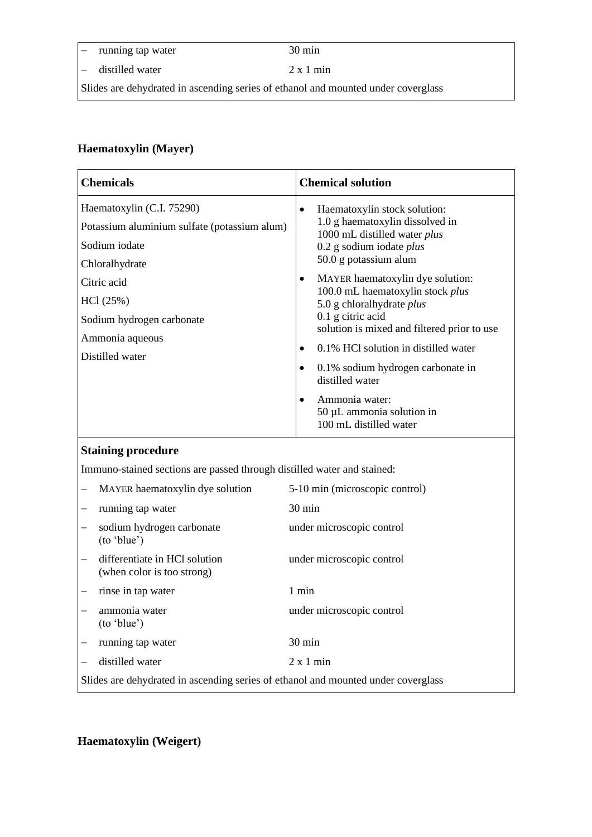− running tap water 30 min

− distilled water 2 x 1 min

Slides are dehydrated in ascending series of ethanol and mounted under coverglass

## **Haematoxylin (Mayer)**

| <b>Chemicals</b>                                                                                             | <b>Chemical solution</b>                                                                                                                                                                                                                                                                                     |  |
|--------------------------------------------------------------------------------------------------------------|--------------------------------------------------------------------------------------------------------------------------------------------------------------------------------------------------------------------------------------------------------------------------------------------------------------|--|
| Haematoxylin (C.I. 75290)<br>Potassium aluminium sulfate (potassium alum)<br>Sodium iodate<br>Chloralhydrate | $\bullet$<br>Haematoxylin stock solution:<br>1.0 g haematoxylin dissolved in<br>1000 mL distilled water plus<br>0.2 g sodium iodate plus<br>50.0 g potassium alum                                                                                                                                            |  |
| Citric acid<br>HCl(25%)<br>Sodium hydrogen carbonate<br>Ammonia aqueous<br>Distilled water                   | MAYER haematoxylin dye solution:<br>$\bullet$<br>100.0 mL haematoxylin stock plus<br>5.0 g chloralhydrate plus<br>0.1 g citric acid<br>solution is mixed and filtered prior to use<br>0.1% HCl solution in distilled water<br>$\bullet$<br>0.1% sodium hydrogen carbonate in<br>$\bullet$<br>distilled water |  |
|                                                                                                              | Ammonia water:<br>50 µL ammonia solution in<br>100 mL distilled water                                                                                                                                                                                                                                        |  |
| <b>Staining procedure</b>                                                                                    |                                                                                                                                                                                                                                                                                                              |  |
| Immuno-stained sections are passed through distilled water and stained:                                      |                                                                                                                                                                                                                                                                                                              |  |
| MAYER haematoxylin dye solution                                                                              | 5-10 min (microscopic control)                                                                                                                                                                                                                                                                               |  |
| running tap water                                                                                            | $30 \text{ min}$                                                                                                                                                                                                                                                                                             |  |
| sodium hydrogen carbonate<br>(to 'blue')                                                                     | under microscopic control                                                                                                                                                                                                                                                                                    |  |
| differentiate in HCl solution<br>(when color is too strong)                                                  | under microscopic control                                                                                                                                                                                                                                                                                    |  |
| rinse in tap water                                                                                           | 1 min                                                                                                                                                                                                                                                                                                        |  |
| ammonia water<br>(to 'blue')                                                                                 | under microscopic control                                                                                                                                                                                                                                                                                    |  |
| running tap water                                                                                            | $30 \text{ min}$                                                                                                                                                                                                                                                                                             |  |
| distilled water                                                                                              | $2 \times 1$ min                                                                                                                                                                                                                                                                                             |  |
| Slides are dehydrated in ascending series of ethanol and mounted under coverglass                            |                                                                                                                                                                                                                                                                                                              |  |

**Haematoxylin (Weigert)**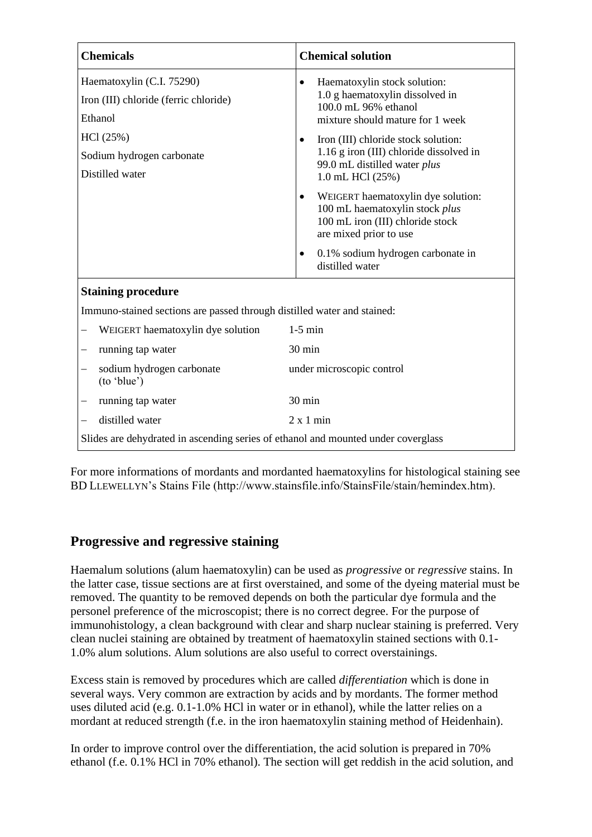| <b>Chemicals</b>                                                                  | <b>Chemical solution</b>                                                                                                                        |  |
|-----------------------------------------------------------------------------------|-------------------------------------------------------------------------------------------------------------------------------------------------|--|
| Haematoxylin (C.I. 75290)<br>Iron (III) chloride (ferric chloride)<br>Ethanol     | Haematoxylin stock solution:<br>$\bullet$<br>1.0 g haematoxylin dissolved in<br>100.0 mL 96% ethanol<br>mixture should mature for 1 week        |  |
| HCl (25%)<br>Sodium hydrogen carbonate<br>Distilled water                         | Iron (III) chloride stock solution:<br>$\bullet$<br>1.16 g iron (III) chloride dissolved in<br>99.0 mL distilled water plus<br>1.0 mL HCl (25%) |  |
|                                                                                   | WEIGERT haematoxylin dye solution:<br>$\bullet$<br>100 mL haematoxylin stock plus<br>100 mL iron (III) chloride stock<br>are mixed prior to use |  |
|                                                                                   | 0.1% sodium hydrogen carbonate in<br>$\bullet$<br>distilled water                                                                               |  |
| <b>Staining procedure</b>                                                         |                                                                                                                                                 |  |
| Immuno-stained sections are passed through distilled water and stained:           |                                                                                                                                                 |  |
| WEIGERT haematoxylin dye solution                                                 | $1-5$ min                                                                                                                                       |  |
| running tap water                                                                 | 30 min                                                                                                                                          |  |
| sodium hydrogen carbonate<br>(to 'blue')                                          | under microscopic control                                                                                                                       |  |
| running tap water                                                                 | 30 min                                                                                                                                          |  |
| distilled water                                                                   | $2 \times 1$ min                                                                                                                                |  |
| Slides are dehydrated in ascending series of ethanol and mounted under coverglass |                                                                                                                                                 |  |

For more informations of mordants and mordanted haematoxylins for histological staining see BD LLEWELLYN's Stains File (http://www.stainsfile.info/StainsFile/stain/hemindex.htm).

## **Progressive and regressive staining**

Haemalum solutions (alum haematoxylin) can be used as *progressive* or *regressive* stains. In the latter case, tissue sections are at first overstained, and some of the dyeing material must be removed. The quantity to be removed depends on both the particular dye formula and the personel preference of the microscopist; there is no correct degree. For the purpose of immunohistology, a clean background with clear and sharp nuclear staining is preferred. Very clean nuclei staining are obtained by treatment of haematoxylin stained sections with 0.1- 1.0% alum solutions. Alum solutions are also useful to correct overstainings.

Excess stain is removed by procedures which are called *differentiation* which is done in several ways. Very common are extraction by acids and by mordants. The former method uses diluted acid (e.g. 0.1-1.0% HCl in water or in ethanol), while the latter relies on a mordant at reduced strength (f.e. in the iron haematoxylin staining method of Heidenhain).

In order to improve control over the differentiation, the acid solution is prepared in 70% ethanol (f.e. 0.1% HCl in 70% ethanol). The section will get reddish in the acid solution, and